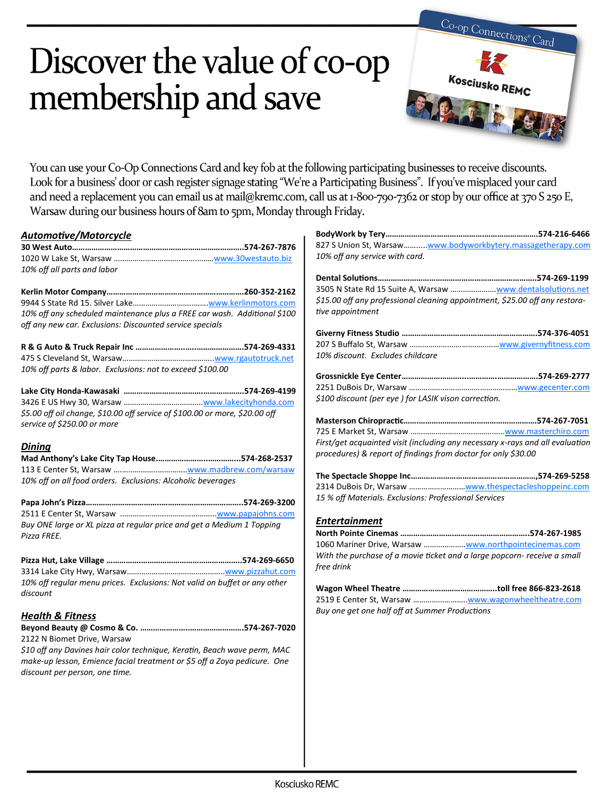# Discover the value of co-op membership and save



You can use your Co-Op Connections Card and key fob at the following participating businesses to receive discounts. Look for a business' door or cash register signage stating "We're a Participating Business". If you've misplaced your card and need a replacement you can email us at mail@kremc.com, call us at 1-800-790-7362 or stop by our office at 370 S 250 E, Warsaw during our business hours of 8am to 5pm, Monday through Friday.

# *Automotive/Motorcycle*

| 30 West Auto………………………………………………………………574-267-7876 |  |
|--------------------------------------------------|--|
|                                                  |  |
| 10% off all parts and labor                      |  |

| 10% off any scheduled maintenance plus a FREE car wash. Additional \$100 |  |
|--------------------------------------------------------------------------|--|
| off any new car. Exclusions: Discounted service specials                 |  |

| 10% off parts & labor. Exclusions: not to exceed \$100.00 |  |
|-----------------------------------------------------------|--|

| \$5.00 off oil change, \$10.00 off service of \$100.00 or more, \$20.00 off |  |
|-----------------------------------------------------------------------------|--|
| service of \$250.00 or more                                                 |  |

#### *Dining*

| 10% off on all food orders. Exclusions: Alcoholic beverages |  |
|-------------------------------------------------------------|--|

| Buy ONE large or XL pizza at regular price and get a Medium 1 Topping |  |
|-----------------------------------------------------------------------|--|
| Pizza FREE.                                                           |  |

|          | 10% off regular menu prices. Exclusions: Not valid on buffet or any other |
|----------|---------------------------------------------------------------------------|
| discount |                                                                           |

### *Health & Fitness*

| 2122 N Biomet Drive, Warsaw |  |
|-----------------------------|--|

*\$10 off any Davines hair color technique, Keratin, Beach wave perm, MAC make-up lesson, Emience facial treatment or \$5 off a Zoya pedicure. One discount per person, one time.* 

| 827 S Union St, Warsaw www.bodyworkbytery.massagetherapy.com<br>10% off any service with card.                                                                          |
|-------------------------------------------------------------------------------------------------------------------------------------------------------------------------|
|                                                                                                                                                                         |
|                                                                                                                                                                         |
| \$15.00 off any professional cleaning appointment, \$25.00 off any restora-<br>tive appointment                                                                         |
|                                                                                                                                                                         |
|                                                                                                                                                                         |
| 10% discount. Excludes childcare                                                                                                                                        |
|                                                                                                                                                                         |
|                                                                                                                                                                         |
| \$100 discount (per eye) for LASIK vison correction.                                                                                                                    |
|                                                                                                                                                                         |
|                                                                                                                                                                         |
| First/get acquainted visit (including any necessary x-rays and all evaluation                                                                                           |
| procedures) & report of findings from doctor for only \$30.00                                                                                                           |
|                                                                                                                                                                         |
| 2314 DuBois Dr, Warsaw www.thespectacleshoppeinc.com                                                                                                                    |
| 15 % off Materials. Exclusions: Professional Services                                                                                                                   |
| <b>Entertainment</b><br>1060 Mariner Drive, Warsaw www.northpointecinemas.com<br>With the purchase of a movie ticket and a large popcorn- receive a small<br>free drink |
| 2519 E Center St, Warsaw www.wagonwheeltheatre.com<br>Buy one get one half off at Summer Productions                                                                    |